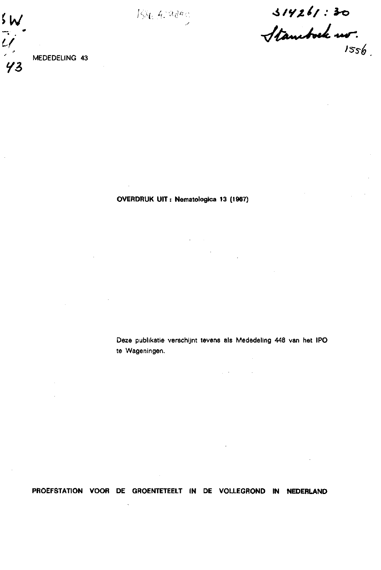*7/ " -x/fa~«J\*+&>*   $1556$ 

MEDEDELING **43** 

 $5w$ 

**OVERDRUK UIT: Nematologica 13 (1967)** 

Deze publikatie verschijnt tevens als Mededeling 448 van het **IPO**  te Wageningen.

 $\varphi\rightarrow 0$ 

**PROEFSTATION VOOR DE GROENTETEELT IN DE VOLLEGROND IN NEDERLAND**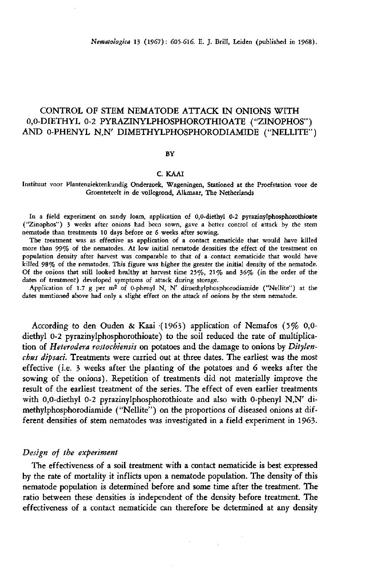# CONTROL OF STEM NEMATODE ATTACK IN ONIONS WITH 0,0-DIETHYL 0-2 PYRAZINYLPHOSPHOROTHIOATE ("ZINOPHOS") AND 0-PHENYL N,N' DIMETHYLPHOSPHORODIAMIDE ("NELLITE")

#### **BY**

#### C. KAAI

Instituut voor Plantenziektenkundig Onderzoek, Wageningen, Stationed at the Proefstation voor de Groenteteelt in de vollegrond, Alkmaar, The Netherlands

In a field experiment on sandy loam, application of 0,0-diethyl 0-2 pyrazinylphosphorothioate ("Zinophos") 3 weeks after onions had been sown, gave a better control of attack by the stem nematode than treatments 10 days before or 6 weeks after sowing.

The treatment was as effective as application of a contact nematicide that would have killed more than 99% of the nematodes. At low initial nematode densities the effect of the treatment on population density after harvest was comparable to that of a contact nematicide that would have killed 98% of the nematodes. This figure was higher the greater the initial density of the nematode. Of the onions that still looked healthy at harvest time  $25\%, 21\%$  and  $36\%$  (in the order of the dates of treatment) developed symptoms of attack during storage.

Application of 1.7 g per  $m^2$  of 0-phenyl N, N' dimethylphosphorodiamide ("Nellite") dates mentioned above had only a slight effect on the attack of onions by the stem nematode.

According to den Ouden & Kaai (1963) application of Nemafos (5% 0,0 diethyl 0-2 pyrazinylphosphorothioate) to the soil reduced the rate of multiplication of *Heterodera rostochiensis* on potatoes and the damage to onions by *Ditylenchus dipsaci.* Treatments were carried out at three dates. The earliest was the most effective (i.e. 3 weeks after the planting of the potatoes and 6 weeks after the sowing of the onions). Repetition of treatments did not materially improve the result of the earliest treatment of the series. The effect of even earlier treatments with 0,0-diethyl 0-2 pyrazinylphosphorothioate and also with 0-phenyl N,N' dimethylphosphorodiamide ("Nellite") on the proportions of diseased onions at different densities of stem nematodes was investigated in a field experiment in 1963.

#### *Design of the experiment*

The effectiveness of a soil treatment with a contact nematicide is best expressed by the rate of mortality it inflicts upon a nematode population. The density of this nematode population is determined before and some time after the treatment. The ratio between these densities is independent of the density before treatment. The effectiveness of a contact nematicide can therefore be determined at any density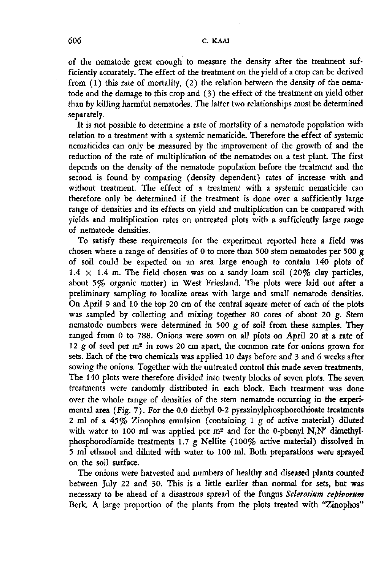of the nematode great enough to measure the density after the treatment sufficiently accurately. The effect of the treatment on the yield of a crop can be derived from (1) this rate of mortality, (2) the relation between the density of the nematode and the damage to this crop and (3) the effect of the treatment on yield other than by killing harmful nematodes. The latter two relationships must be determined separately.

It is not possible to determine a rate of mortality of a nematode population with relation to a treatment with a systemic nematicide. Therefore the effect of systemic nematicides can only be measured by the improvement of the growth of and the reduction of the rate of multiplication of the nematodes on a test plant. The first depends on the density of the nematode population before the treatment and the second is found by comparing (density dependent) rates of increase with and without treatment. The effect of a treatment with a systemic nematicide can therefore only be determined if the treatment is done over a sufficiently large range of densities and its effects on yield and multiplication can be compared with yields and multiplication rates on untreated plots with a sufficiently large range of nematode densities.

To satisfy these requirements for the experiment reported here a field was chosen where a range of densities of 0 to more than 500 stem nematodes per 500 g of soil could be expected on an area large enough to contain 140 plots of  $1.4 \times 1.4$  m. The field chosen was on a sandy loam soil (20% clay particles, about 5% organic matter) in West Friesland. The plots were laid out after a preliminary sampling to localize areas with large and small nematode densities. On April 9 and 10 the top 20 cm of the central square meter of each of the plots was sampled by collecting and mixing together 80 cores of about 20 g. Stem nematode numbers were determined in 500 g of soil from these samples. They ranged from 0 to 788. Onions were sown on all plots on April 20 at a rate of 12  $g$  of seed per m<sup>2</sup> in rows 20 cm apart, the common rate for onions  $g$ sets. Each of the two chemicals was applied 10 days before and 3 and 6 weeks after sowing the onions. Together with the untreated control this made seven treatments. The 140 plots were therefore divided into twenty blocks of seven plots. The seven treatments were randomly distributed in each block. Each treatment was done over the whole range of densities of the stem nematode occurring in the experimental area (Fig. 7). For the 0,0 diethyl 0-2 pyrazinylphosphorothioate treatments 2 ml of a  $45\%$  Zinophos emulsion (containing 1 g of active material) diluted with water to 100 ml was applied per  $m^2$  and for the 0-phenyl N.N' d phosphorodiamide treatments 1.7 g Nellite (100% active material) dissolved in 5 ml ethanol and diluted with water to 100 ml. Both preparations were sprayed on the soil surface.

The onions were harvested and numbers of healthy and diseased plants counted between July 22 and 30. This is a little earlier than normal for sets, but was necessary to be ahead of a disastrous spread of the fungus *Sclerotium cepivorum*  Berk. A large proportion of the plants from the plots treated with "Zinophos"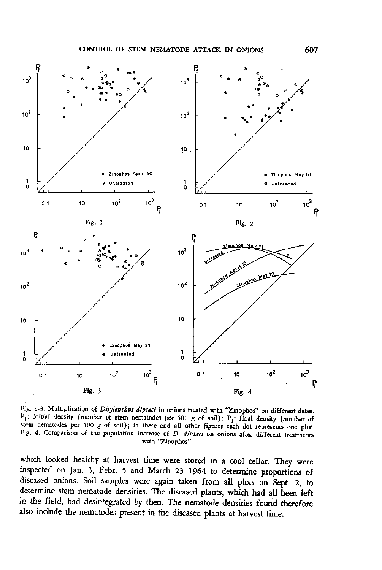

Fig. 1-3. Multiplication of *Ditylenchus dipsaci* in onions treated with "Zinophos" on different dates.  $P_i$ : initial density (number of stem nematodes per 500 g of soil);  $P_i$ : final density (n stem nematodes per 500 g of soil); in these and all other figures each dot represents one plot. Fig. 4. Comparison of the population increase of *D. dipsaci* on onions after different treatments with "Zinophos".

which looked healthy at harvest time were stored in a cool cellar. They were inspected on Jan. 3, Febr. 5 and March 23 1964 to determine proportions of diseased onions. Soil samples were again taken from all plots on Sept. 2, to determine stem nematode densities. The diseased plants, which had all been left in the field, had desintegrated by then. The nematode densities found therefore also include the nematodes present in the diseased plants at harvest time.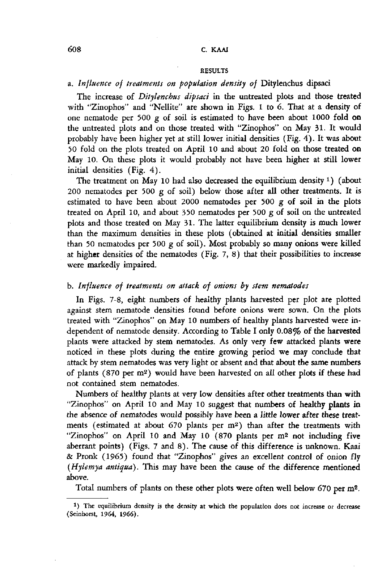#### RESULTS

# a. *Influence of treatments on population density of* Ditylenchus dipsaci

The increase of *Ditylenchus dipsaci* in the untreated plots and those treated with "Zinophos" and "Nellite" are shown in Figs. 1 to 6. That at a density of one nematode per 500 g of soil is estimated to have been about 1000 **fold on**  the untreated plots and on those treated with "Zinophos" on May 31. It would probably have been higher yet at still lower initial densities (Fig. 4). It was about 50 fold on the plots treated on April 10 and about 20 fold on those treated **on**  May 10. On these plots it would probably not have been higher at still lower initial densities (Fig. 4).

The treatment on May 10 had also decreased the equilibrium density <sup>1</sup>) 200 nematodes per 500 g of soil) below those after all other treatments. It is estimated to have been about 2000 nematodes per 500 g of soil in the plots treated on April 10, and about 350 nematodes per 500 g of soil on the untreated plots and those treated on May 31. The latter equilibrium density is much lower than the maximum densities in these plots (obtained at initial densities smaller than 50 nematodes per 500 g of soil). Most probably so many onions were killed at higher densities of the nematodes (Fig. 7, 8) that their possibilities to increase were markedly impaired.

# b. *Influence of treatments on attack of onions by stem nematodes*

In Figs. 7-8, eight numbers of healthy plants harvested per plot are plotted against stem nematode densities found before onions were sown. On the plots treated with "Zinophos" on May 10 numbers of healthy plants harvested were independent of nematode density. According to Table I only 0.08% of **the harvested**  plants were attacked by stem nematodes. As only very few attacked plants were noticed in these plots during the entire growing period we may conclude that attack by stem nematodes was very light or absent and that about the same numbers of plants (870 per  $m^2$ ) would have been harvested on all other plots if not contained stem nematodes.

Numbers of healthy plants at very low densities after other treatments than with "Zinophos" on April 10 and May 10 suggest that numbers of healthy **plants in**  the absence of nematodes would possibly have been a little lower after these treatments (estimated at about 670 plants per m<sup>2</sup>) than after the treatmen "Zinophos" on April 10 and May 10 (870 plants per m<sup>2</sup> not includ aberrant points) (Figs. 7 and 8). The cause of this difference is unknown. Kaai & Pronk (I965) found that "Zinophos" gives an excellent control of onion fly *(Hylemya antiqua).* This may have been the cause of the difference mentioned above.

Total numbers of plants on these other plots were often well below 670

<sup>&</sup>lt;sup>1</sup>) The equilibrium density is the density at which the population does not increase or decrease (Seinhorst, 1964, 1966).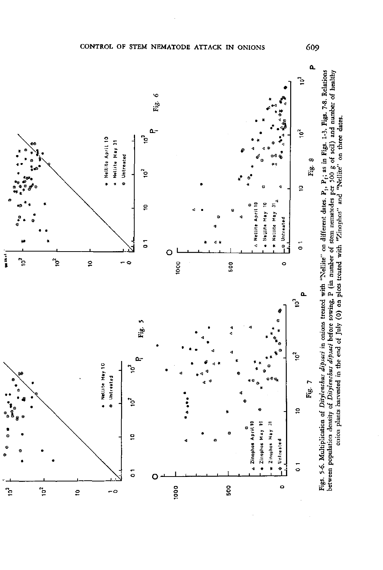

**•s s «.g vi G bo 3 « K ^ « - T3 "-rt tri<sup>c</sup>** in Figs.<br>of soil)<br>can the ates. P<sub>1</sub>,<br>odes per **« o :**  «ÏÏ p. s **§ ^ ^ : « S3 \***  •'S JQ T3 3 S *"*  **<L> S 't\***  .<br>. e ځ  $\geq$   $\sim$  7 mions treated<br>
efore sowing<br>
Luly (0) on **us-dip**<br>chus-d<br>in-th **s S ^**   $\mathfrak{g}$  e. **.S"-S o**  .<br>इ.स. S §• . a,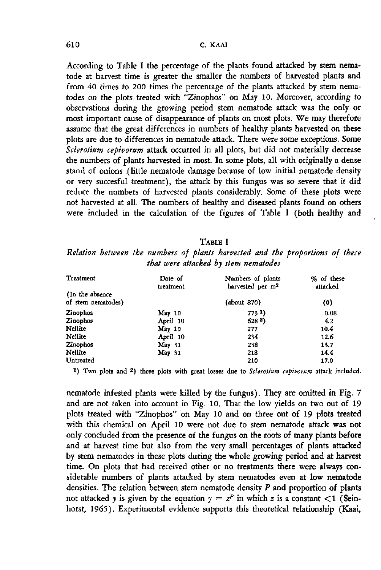According to Table I the percentage of the plants found attacked by stem nematode at harvest time is greater the smaller the numbers of harvested plants and from 40 times to 200 times the percentage of the plants attacked by stem nematodes on the plots treated with "Zinophos" on May 10. Moreover, according to observations during the growing period stem nematode attack was the only or most important cause of disappearance of plants on most plots. We may therefore assume that the great differences in numbers of healthy plants harvested on these plots are due to differences in nematode attack. There were some exceptions. Some *Sclerotium cepivorum* attack occurred in all plots, but did not materially decrease the numbers of plants harvested in most. In some plots, all with originally a dense stand of onions (little nematode damage because of low initial nematode density or very succesful treatment), the attack by this fungus was so severe that it did reduce the numbers of harvested plants considerably. Some of these plots were not harvested at all. The numbers of healthy and diseased plants found on others were included in the calculation of the figures of Table I (both healthy and

### TABLE I

*Relation between the numbers of plants harvested and the proportions of these that were attacked by stem nematodes* 

| <b>Treatment</b>                       | Date of<br>treatment | Numbers of plants<br>harvested per m <sup>2</sup> | % of these<br>attacked |
|----------------------------------------|----------------------|---------------------------------------------------|------------------------|
| (In the absence)<br>of stem nematodes) |                      | (about 870)                                       | (0)                    |
| Zinophos                               | $\text{May } 10$     | 7731                                              | 0.08                   |
| Zinophos                               | April 10             | 628 <sup>2</sup>                                  | 4.2                    |
| Nellite                                | $\text{May } 10$     | 277                                               | 104                    |
| Nellite                                | April 10             | 234                                               | 12.6                   |
| Zinophos                               | May <sub>31</sub>    | 238                                               | 13.7                   |
| Nellite                                | May <sub>31</sub>    | 218                                               | 14.4                   |
| Untreated                              |                      | 210                                               | 17.0                   |

<sup>1</sup>) Two plots and <sup>2</sup>) three plots with great losses due to Sclerotium cepivorum attack i

nematode infested plants were killed by the fungus). They are omitted in Fig. 7 and are not taken into account in Fig. 10. That the low yields on two out of 19 plots treated with "Zinophos" on May 10 and on three out of 19 plots treated with this chemical on April 10 were not due to stem nematode attack was not only concluded from the presence of the fungus on the roots of many plants before and at harvest time but also from the very small percentages of plants attacked by stem nematodes in these plots during the whole growing period and at harvest time. On plots that had received other or no treatments there were always considerable numbers of plants attacked by stem nematodes even at low nematode densities. The relation between stem nematode density *P* and proportion of plants not attacked y is given by the equation  $y = z^p$  in which x is a constant horst, 1965). Experimental evidence supports this theoretical relationship (Kaai,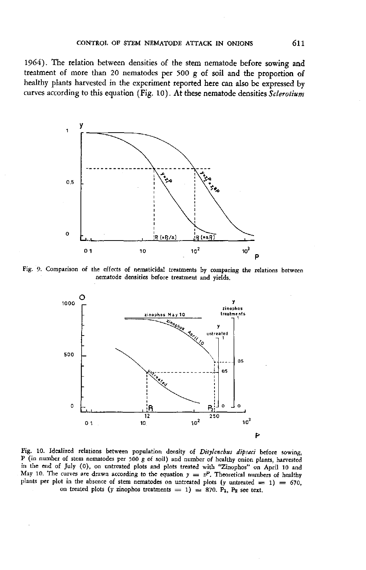1964). The relation between densities of the stem nematode before sowing and treatment of more than 20 nematodes per 500 g of soil and the proportion of healthy plants harvested in the experiment reported here can also be expressed by curves according to this equation (Fig. 10). At these nematode densities *Sclerotium* 



Fig. 9. Comparison of the effects of nematicidal treatments by comparing the relations between nematode densities before treatment and yields.



Fig. 10. Idealized relations between population density of Ditylenchus dipsaci before sowing, P (in number of stem nematodes per 500 g of soil) and number of healthy onion plants, harvested in the end of July (0), on untreated plots and plots treated with "Zinophos" on April 10 and May 10. The curves are drawn according to the equation  $y = zP$ . Theoretical numbers of plants per plot in the absence of stem nematodes on untreated plots (y untreated  $= 1) = 670$ , on treated plots (y zinophos treatments = 1) = 870. P<sub>1</sub>, P<sub>2</sub> see text.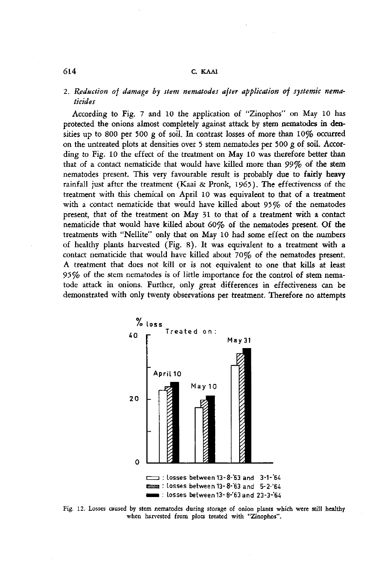# 614 C. KAAI

# 2. *Reduction of damage by stem nematodes after application of systemic nematicides*

According to Fig. 7 and 10 the application of "Zinophos" on May 10 has protected the onions almost completely against attack by stem nematodes in densities up to 800 per 500 g of soil. In contrast losses of more than 10% occurred on the untreated plots at densities over 5 stem nematodes per 500 g of soil. According to Fig. 10 the effect of the treatment on May 10 was therefore better than that of a contact nematicide that would have killed more than *99%* of the stem nematodes present. This very favourable result is probably due to **fairly heavy**  rainfall just after the treatment (Kaai & Pronk, 1965). The effectiveness of the treatment with this chemical on April 10 was equivalent to that of a treatment with a contact nematicide that would have killed about 95% of the nematodes present, that of the treatment on May 31 to that of a treatment with a contact nematicide that would have killed about 60% of the nematodes present. Of the treatments with "Nellite" only that on May 10 had some effect on the numbers of healthy plants harvested (Fig. 8). It was equivalent to a treatment with a contact nematicide that would have killed about 70% of the nematodes present. A treatment that does not kill or is not equivalent to one that kills at least 95% of the stem nematodes is of little importance for the control of stem nematode attack in onions. Further, only great differences in effectiveness can be demonstrated with only twenty observations per treatment. Therefore no attempts



Fig. 12. Losses caused by stem nematodes during storage of onion plants which were still healthy when harvested from plots treated with "Zinophos".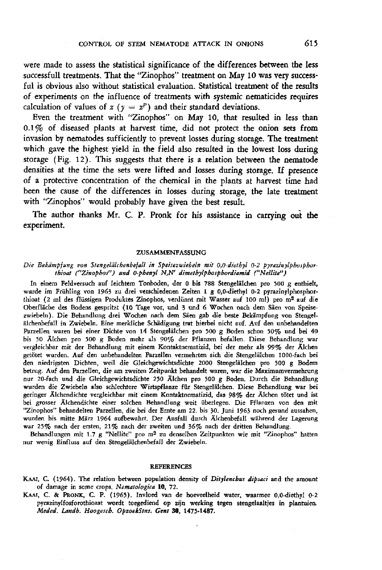Even the treatment with "Zinophos" on May 10, that resulted in less than 0.1% of diseased plants at harvest time, did not protect the onion sets from invasion by nematodes sufficiently to prevent losses during storage. **The** treatment which gave the highest yield in the field also resulted in the lowest loss during storage (Fig. 12). This suggests that there is a relation between the nematode densities at the time the sets were lifted and losses during storage. If presence of a protective concentration of the chemical in the plants at harvest time had been the cause of the differences in losses during storage, the late treatment with "Zinophos" would probably have given the best result.

The author thanks Mr. C. P. Pronk for his assistance in carrying **out the**  experiment.

#### ZUSAMMENFASSUNG

#### *Die Bekämpfung von Stengelälchenbefatt in Speisezwiebeln mit 0,0-diethyl 0-2 pyrazinylphosphorthioat ("Zinophos") und 0-phenyl N,N' dimethylphosphordiamid ("Nellite")*

In einem Feldversuch auf leichtem Tonboden, der 0 bis 788 Stengelälchen pro 500 g enthielt, wurde im Frühling von 1963 zu drei verschiedenen Zeiten 1 g 0,0-diethyl 0-2 pyrazinylphosphorthioat (2 ml des flüssigen Produktes Zinophos, verdünnt mit Wasser auf 100 ml) pro m Oberfläche des Bodens gespritzt (10 Tage vor, und 3 und 6 Wochen nach dem Säen vo zwiebeln). Die Behandlung drei Wochen nach dem Säen gab die beste Bekämpfung von S älchenbefall in Zwiebeln. Eine merkliche Schädigung trat hierbei nicht auf. Auf den unbehandelten Parzellen waren bei einer Dichte von 14 Stengelälchen pro 500 g Boden schon 50% und bei 40 bis 50 Älchen pro 500 g Boden mehr als 90% der Pflanzen befallen. Diese Behandlung war vergleichbar mit der Behandlung mit einem Kontaktnematizid, bei der mehr als 99% der Älchen getötet wurden. Auf den unbehandelten Parzellen vermehrten sich die Stengelälchen 1000-fach bei den niedrigsten Dichten, weil die Gleichgewichtsdichte 2000 Stengelälchen pro 500 g Bodem betrug. Auf den Parzellen, die am zweiten Zeitpunkt behandelt waren, war die Maximumvermehrung nur 20-fach und die Gleichgewichtsdichte 250 Älchen pro 500 g Boden. Durch die Behandlung wurden die Zwiebeln also schlechtere Wirtspflanze für Stengelälchen. Diese Behandlung war bei geringer Älchendichte vergleichbar mit einem Kontaktnematizid, das 98% der Älchen tötet und ist bei grosser Älchendichte einer solchen Behandlung weit überlegen. Die Pflanzen von den mit "Zinophos" behandelten Parzellen, die bei der Ernte am 22. bis 30. Juni 1963 noch gesund aussahen, wurden bis mitte März 1964 aufbewahrt. Der Ausfall durch Älchenbefall während der Lagerung war 25% nach der ersten, 21% nach der zweiten und 36% nach der dritten Behandlung.

Behandlungen mit 1.7 g "Nellite" pro m<sup>2</sup> zu denselben Zeitpunkten wie mit "Zinophos' nur wenig Einfluss auf den Stengelälchenbefall der Zwiebeln.

#### REFERENCES

KAAI, C. (1964). The relation between population density of *Ditylenchus dipsaci* and the amount of damage in some crops. *Nematologica* 10, 72.

KAAI, C. & PRONK, C. P. (1965). Invloed van de hoeveelheid water, waarmee 0,0-diethyl 0-2 pyrazinylfosforothioaat wordt toegediend op zijn werking tegen stengelaaltjes in plantuien. *Meded. Landb. Hoogesch. OpzoekStns, Gent* 30, 1475-1487.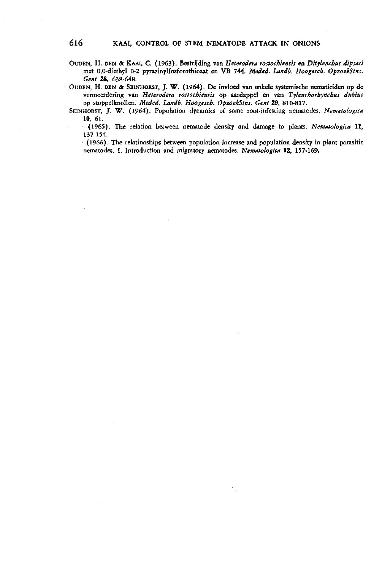OUDEN, H. DEN & KAAI, C. (1963). Bestrijding van *Heterodera rostochiensis* en *Ditylenchus dipsaci*  met 0,0-diethyl 0-2 pyrazinylfosforothioaat en VB 744. *Meded. Landb. Hoogesch. OpzoekStns. Gent* 28, 638-648.

OUDEN, H. DEN & SEINHORST, J. W. (1964). De invloed van enkele systemische nematiciden óp de vermeerdering van *Heterodera rostochiensis* op aardappel en van *Tylenchorhynchus dubius*  op stoppelknollen. *Meded. Landb. Hoogesch. OpzoekStns. Gent* 29, 810-817.

SEINHORST, J. W. (1964). Population dynamics of some root-infesting nematodes. *Nematologica*  10, 61.

(1965). The relation between nematode density and damage to plants. *Nematologica* 11, 137-154.

(1966). The relationships between population increase and population density in plant parasitic nematodes. I. Introduction and migratory nematodes. *Nematologica* 12, 157-169.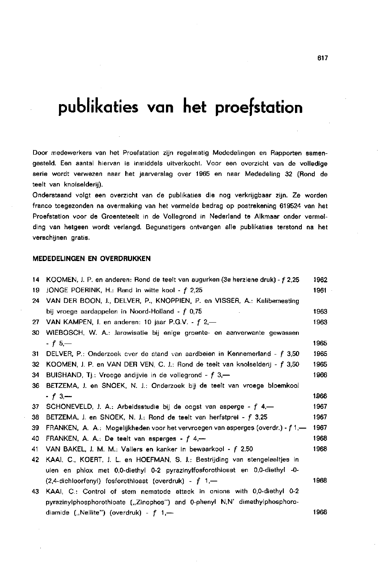# **publikaties van het proefstation**

Door medewerkers van het Proefstation zijn regelmatig Mededelingen en Rapporten samengesteld. Een aantal hiervan is inmiddels uitverkocht. Voor een overzicht van de volledige serie wordt verwezen naar het jaarverslag over 1965 en naar Mededeling 32 (Rond de teelt van knolselderij).

Onderstaand volgt een overzicht van de publikaties die nog verkrijgbaar zijn. Ze worden franco toegezonden na overmaking van het vermelde bedrag op postrekening 619524 van het Proefstation voor de Groenteteelt in de Vollegrond in Nederland te Alkmaar onder vermelding van hetgeen wordt verlangd. Begunstigers ontvangen alle publikaties terstond na het verschijnen gratis.

#### **MEDEDELINGEN EN OVERDRUKKEN**

| 14 | KOOMEN, J. P. en anderen: Rond de teelt van augurken (3e herziene druk) - f 2,25 | 1962 |
|----|----------------------------------------------------------------------------------|------|
| 19 | JONGE POERINK, H.: Rand in witte kool - $f$ 2,25                                 | 1961 |
| 24 | VAN DER BOON, J., DELVER, P., KNOPPIEN, P. en VISSER, A.: Kalibemesting          |      |
|    | bij vroege aardappelen in Noord-Holland - f 0,75                                 | 1963 |
| 27 | VAN KAMPEN, J. en anderen: 10 jaar P.G.V. - f 2,-                                | 1963 |
| 30 | WIEBOSCH, W. A.: Jarowisatie bij enige groente- en aanverwante gewassen          |      |
|    | - f 5.—                                                                          | 1965 |
| 31 | DELVER, P.: Onderzoek cver de stand van aardbeien in Kennemerland - f 3,50       | 1965 |
| 32 | KOOMEN, J. P. en VAN DER VEN, C. J.: Rond de teelt van knolselderij - f 3,50     | 1965 |
| 34 | BUISHAND, Tj.: Vroege andijvie in de vollegrond - $f$ 3,—                        | 1966 |
| 36 | BETZEMA, J. en SNOEK, N. J.: Onderzoek bij de teelt van vroege bloemkool         |      |
|    | - f 3,—                                                                          | 1966 |
| 37 | SCHONEVELD, J. A.: Arbeidsstudie bij de oogst van asperge - f 4,-                | 1967 |
| 38 | BETZEMA, J. en SNOEK, N. J.: Rond de teelt van herfstprei - f 3,25               | 1967 |
| 39 | FRANKEN, A. A.: Mogelijkheden voor het vervroegen van asperges (overdr.) - f 1,— | 1967 |
| 40 | FRANKEN, A. A.: De teelt van asperges - $f$ 4 –                                  | 1968 |
| 41 | VAN BAKEL, J. M. M.: Vallers en kanker in bewaarkool - f 2,50                    | 1968 |
| 42 | KAAI, C., KOERT, J. L. en HOEFMAN, S. J.: Bestrijding van stengelaaltjes in      |      |
|    | uien en phlox met 0,0-diethyl 0-2 pyrazinylfosforothioaat en 0,0-diethyl -0-     |      |
|    | $(2,4$ -dichloorfenyl) fosforothioaat (overdruk) - $f$ 1,—                       | 1968 |
| 43 | KAAI, C.: Control of stem nematode attack in onions with 0,0-diethyl 0-2         |      |
|    | pyrazinylphosphorothioate ("Zinophos") and 0-phenyl N.N' dimethylphosphoro-      |      |
|    | diamide ("Nellite") (overdruk) - $f \neq 1$ ,—                                   | 1968 |